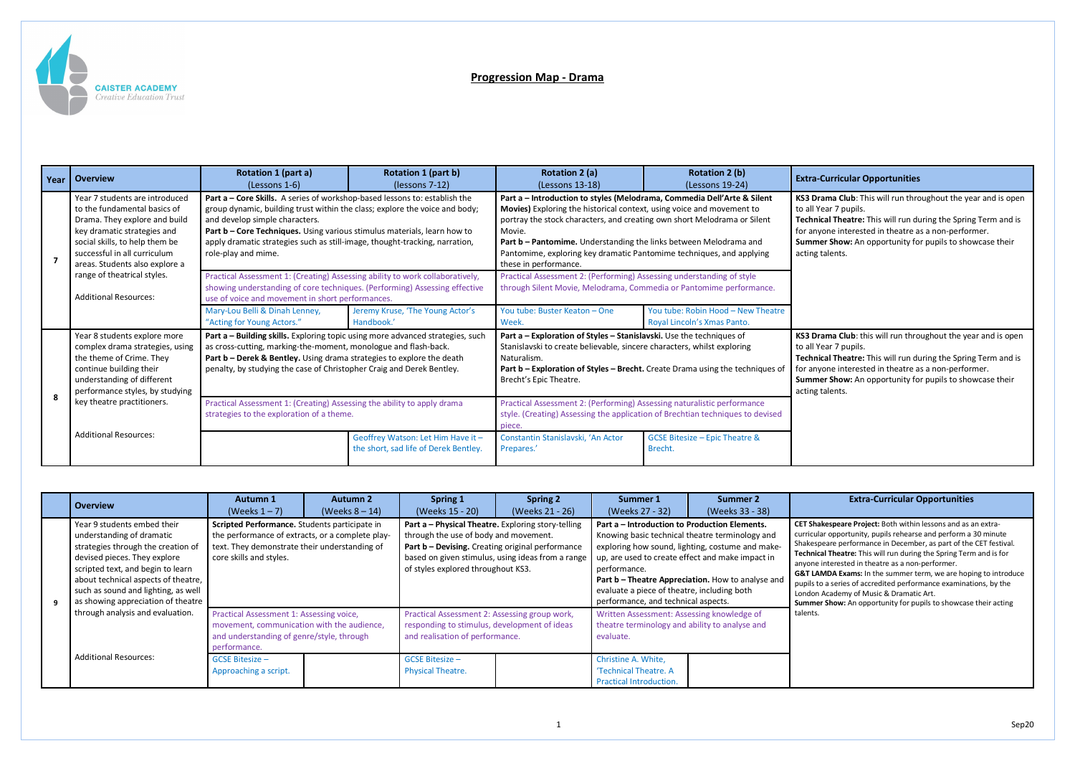

## **Progression Map - Drama**

## (Lessons 19-24) **Extra-Curricular Opportunities**

Drama Club: This will run throughout the year and is open Il Year 7 pupils.

**nical Theatre:** This will run during the Spring Term and is anyone interested in theatre as a non-performer. **Imer Show:** An opportunity for pupils to showcase their ng talents.

**Drama Club**: this will run throughout the year and is open Il Year 7 pupils.

**nical Theatre:** This will run during the Spring Term and is anyone interested in theatre as a non-performer. **Imer Show:** An opportunity for pupils to showcase their ng talents.

| Year | <b>Overview</b>                                                                                                                                                                                                                    | Rotation 1 (part a)<br>(Lessons 1-6)                                                                                                                                                                                                                                                                                                                                          | Rotation 1 (part b)<br>(lessons 7-12)                                       | <b>Rotation 2 (a)</b><br>(Lessons 13-18)                                                                                                                                                                                                                                                                                                                                                                     | <b>Rotation 2 (b)</b><br>(Lessons 19-24)                                                                                                                  | Extra |
|------|------------------------------------------------------------------------------------------------------------------------------------------------------------------------------------------------------------------------------------|-------------------------------------------------------------------------------------------------------------------------------------------------------------------------------------------------------------------------------------------------------------------------------------------------------------------------------------------------------------------------------|-----------------------------------------------------------------------------|--------------------------------------------------------------------------------------------------------------------------------------------------------------------------------------------------------------------------------------------------------------------------------------------------------------------------------------------------------------------------------------------------------------|-----------------------------------------------------------------------------------------------------------------------------------------------------------|-------|
| 7    | Year 7 students are introduced<br>to the fundamental basics of<br>Drama. They explore and build<br>key dramatic strategies and<br>social skills, to help them be<br>successful in all curriculum<br>areas. Students also explore a | Part a - Core Skills. A series of workshop-based lessons to: establish the<br>group dynamic, building trust within the class; explore the voice and body;<br>and develop simple characters.<br>Part b - Core Techniques. Using various stimulus materials, learn how to<br>apply dramatic strategies such as still-image, thought-tracking, narration,<br>role-play and mime. |                                                                             | Part a - Introduction to styles (Melodrama, Commedia Dell'Arte & Silent<br>Movies) Exploring the historical context, using voice and movement to<br>portray the stock characters, and creating own short Melodrama or Silent<br>Movie.<br>Part b - Pantomime. Understanding the links between Melodrama and<br>Pantomime, exploring key dramatic Pantomime techniques, and applying<br>these in performance. |                                                                                                                                                           |       |
|      | range of theatrical styles.<br><b>Additional Resources:</b>                                                                                                                                                                        | Practical Assessment 1: (Creating) Assessing ability to work collaboratively,<br>showing understanding of core techniques. (Performing) Assessing effective<br>use of voice and movement in short performances.                                                                                                                                                               |                                                                             | Practical Assessment 2: (Performing) Assessing understanding of style<br>through Silent Movie, Melodrama, Commedia or Pantomime performance.                                                                                                                                                                                                                                                                 |                                                                                                                                                           |       |
|      |                                                                                                                                                                                                                                    | Mary-Lou Belli & Dinah Lenney,<br>"Acting for Young Actors."                                                                                                                                                                                                                                                                                                                  | Jeremy Kruse, 'The Young Actor's<br>Handbook.'                              | You tube: Buster Keaton - One<br>Week.                                                                                                                                                                                                                                                                                                                                                                       | You tube: Robin Hood - New Theatre<br>Royal Lincoln's Xmas Panto.                                                                                         |       |
| 8    | Year 8 students explore more<br>complex drama strategies, using<br>the theme of Crime. They<br>continue building their<br>understanding of different<br>performance styles, by studying                                            | Part a - Building skills. Exploring topic using more advanced strategies, such<br>as cross-cutting, marking-the-moment, monologue and flash-back.<br>Part b - Derek & Bentley. Using drama strategies to explore the death<br>penalty, by studying the case of Christopher Craig and Derek Bentley.                                                                           |                                                                             | Part a - Exploration of Styles - Stanislavski. Use the techniques of<br>Stanislavski to create believable, sincere characters, whilst exploring<br>Naturalism.<br>Part b - Exploration of Styles - Brecht. Create Drama using the techniques of<br>Brecht's Epic Theatre.                                                                                                                                    |                                                                                                                                                           |       |
|      | key theatre practitioners.                                                                                                                                                                                                         | Practical Assessment 1: (Creating) Assessing the ability to apply drama<br>strategies to the exploration of a theme.                                                                                                                                                                                                                                                          |                                                                             | piece.                                                                                                                                                                                                                                                                                                                                                                                                       | Practical Assessment 2: (Performing) Assessing naturalistic performance<br>style. (Creating) Assessing the application of Brechtian techniques to devised |       |
|      | <b>Additional Resources:</b>                                                                                                                                                                                                       |                                                                                                                                                                                                                                                                                                                                                                               | Geoffrey Watson: Let Him Have it -<br>the short, sad life of Derek Bentley. | Constantin Stanislavski, 'An Actor<br>Prepares.'                                                                                                                                                                                                                                                                                                                                                             | GCSE Bitesize - Epic Theatre &<br>Brecht.                                                                                                                 |       |

**CET Shakespeare Project:** Both within lessons and as an extracular opportunity, pupils rehearse and perform a 30 minute espeare performance in December, as part of the CET festival. nical Theatre: This will run during the Spring Term and is for ne interested in theatre as a non-performer.

LAMDA Exams: In the summer term, we are hoping to introduce s to a series of accredited performance examinations, by the on Academy of Music & Dramatic Art.

**mer Show:** An opportunity for pupils to showcase their acting

## **Extra-Curricular Opportunities**

|   | <b>Overview</b>                                                                                                                                                                                                                                                                                                             | <b>Autumn 1</b><br>(Weeks $1 - 7$ )                                                                                                                                           | <b>Autumn 2</b><br>(Weeks $8 - 14$ ) | <b>Spring 1</b><br>(Weeks 15 - 20)                                                                                                                                                                                                         | <b>Spring 2</b><br>(Weeks 21 - 26) | Summer 1<br>(Weeks 27 - 32)                                                                                                                                                                                                                                                                                                                                         | Summer 2<br>(Weeks 33 - 38)                                                                  |                                                                                                           |
|---|-----------------------------------------------------------------------------------------------------------------------------------------------------------------------------------------------------------------------------------------------------------------------------------------------------------------------------|-------------------------------------------------------------------------------------------------------------------------------------------------------------------------------|--------------------------------------|--------------------------------------------------------------------------------------------------------------------------------------------------------------------------------------------------------------------------------------------|------------------------------------|---------------------------------------------------------------------------------------------------------------------------------------------------------------------------------------------------------------------------------------------------------------------------------------------------------------------------------------------------------------------|----------------------------------------------------------------------------------------------|-----------------------------------------------------------------------------------------------------------|
| q | Year 9 students embed their<br>understanding of dramatic<br>strategies through the creation of<br>devised pieces. They explore<br>scripted text, and begin to learn<br>about technical aspects of theatre,<br>such as sound and lighting, as well<br>as showing appreciation of theatre<br>through analysis and evaluation. | Scripted Performance. Students participate in<br>the performance of extracts, or a complete play-<br>text. They demonstrate their understanding of<br>core skills and styles. |                                      | Part a - Physical Theatre. Exploring story-telling<br>through the use of body and movement.<br>Part b - Devising. Creating original performance<br>based on given stimulus, using ideas from a range<br>of styles explored throughout KS3. |                                    | Part a – Introduction to Production Elements.<br>Knowing basic technical theatre terminology and<br>exploring how sound, lighting, costume and make-<br>up, are used to create effect and make impact in<br>performance.<br>Part b - Theatre Appreciation. How to analyse and<br>evaluate a piece of theatre, including both<br>performance, and technical aspects. |                                                                                              | <b>CET Sha</b><br>curricul<br>Shakes<br>Technio<br>anyone<br>G&T LA<br>pupils t<br>London<br><b>Summe</b> |
|   |                                                                                                                                                                                                                                                                                                                             | Practical Assessment 1: Assessing voice,<br>movement, communication with the audience,<br>and understanding of genre/style, through<br>performance.                           |                                      | Practical Assessment 2: Assessing group work,<br>responding to stimulus, development of ideas<br>and realisation of performance.<br>evaluate.                                                                                              |                                    |                                                                                                                                                                                                                                                                                                                                                                     | Written Assessment: Assessing knowledge of<br>theatre terminology and ability to analyse and |                                                                                                           |
|   | <b>Additional Resources:</b>                                                                                                                                                                                                                                                                                                | <b>GCSE Bitesize -</b><br>Approaching a script.                                                                                                                               |                                      | <b>GCSE Bitesize -</b><br><b>Physical Theatre.</b>                                                                                                                                                                                         |                                    | Christine A. White,<br>'Technical Theatre, A<br><b>Practical Introduction.</b>                                                                                                                                                                                                                                                                                      |                                                                                              |                                                                                                           |